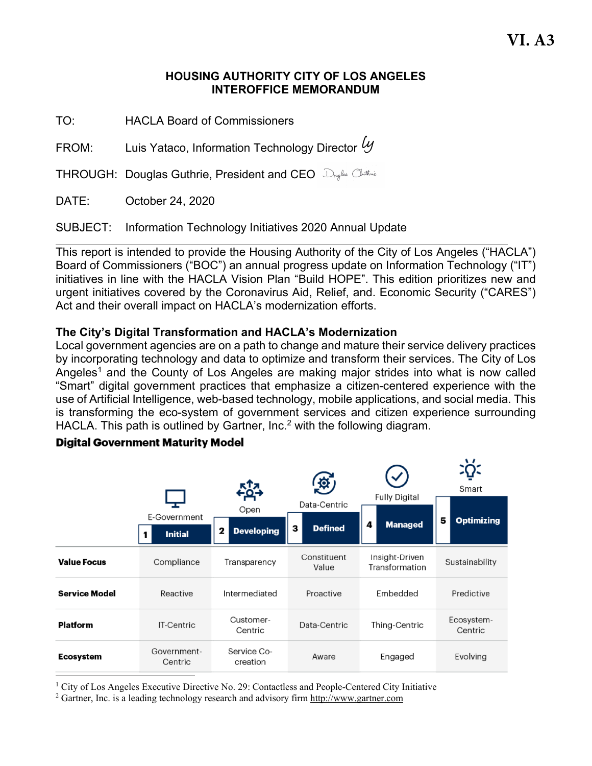#### **HOUSING AUTHORITY CITY OF LOS ANGELES INTEROFFICE MEMORANDUM**

TO: HACLA Board of Commissioners

FROM:  $\qquad \qquad$  Luis Yataco, Information Technology Director  $\mathscr Y$ 

**THROUGH: Douglas Guthrie, President and CEO** Dryles Cluthrie

DATE: October 24, 2020

SUBJECT: Information Technology Initiatives 2020 Annual Update

This report is intended to provide the Housing Authority of the City of Los Angeles ("HACLA") Board of Commissioners ("BOC") an annual progress update on Information Technology ("IT") initiatives in line with the HACLA Vision Plan "Build HOPE". This edition prioritizes new and urgent initiatives covered by the Coronavirus Aid, Relief, and. Economic Security ("CARES") Act and their overall impact on HACLA's modernization efforts.

### **The City's Digital Transformation and HACLA's Modernization**

Local government agencies are on a path to change and mature their service delivery practices by incorporating technology and data to optimize and transform their services. The City of Los Angeles<sup>1</sup> and the County of Los Angeles are making major strides into what is now called "Smart" digital government practices that emphasize a citizen-centered experience with the use of Artificial Intelligence, web-based technology, mobile applications, and social media. This is transforming the eco-system of government services and citizen experience surrounding HACLA. This path is outlined by Gartner, Inc.<sup>2</sup> with the following diagram.

#### Smart **Fully Digital** Data-Centric Open E-Government 5 **Optimizing** 4 **Managed Defined** з 2 **Developing Initial** 1 Constituent Insight-Driven **Value Focus** Compliance Transparency Sustainability Value Transformation **Service Model** Reactive Intermediated Proactive Embedded Predictive Ecosystem-Customer-**Platform IT-Centric** Data-Centric Thing-Centric Centric Centric Government-Service Co-Engaged Evolving **Ecosystem** Aware Centric creation

#### **Digital Government Maturity Model**

<sup>1</sup> City of Los Angeles Executive Directive No. 29: Contactless and People-Centered City Initiative  $\frac{2}{3}$  Gartner. Inc. is a leading technology research and advisory firm http://www.gartner.com

Gartner, Inc. is a leading technology research and advisory firm http://www.gartner.com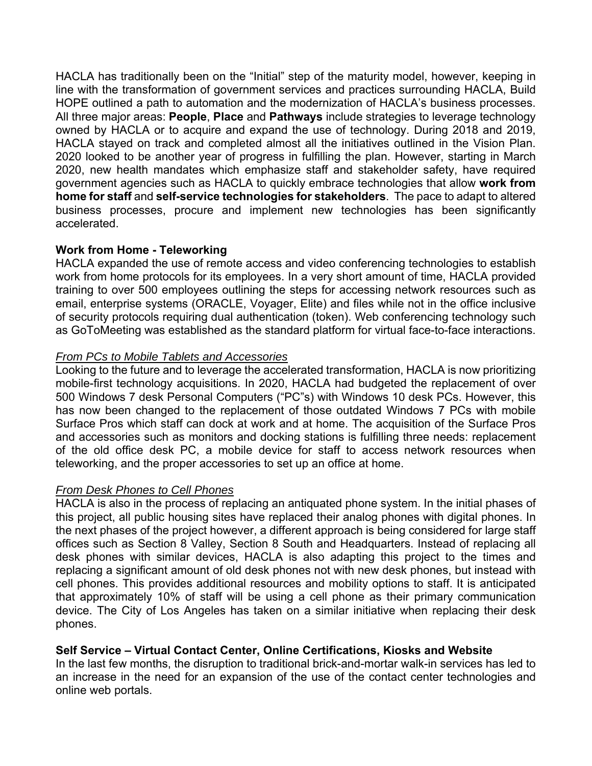HACLA has traditionally been on the "Initial" step of the maturity model, however, keeping in line with the transformation of government services and practices surrounding HACLA, Build HOPE outlined a path to automation and the modernization of HACLA's business processes. All three major areas: **People**, **Place** and **Pathways** include strategies to leverage technology owned by HACLA or to acquire and expand the use of technology. During 2018 and 2019, HACLA stayed on track and completed almost all the initiatives outlined in the Vision Plan. 2020 looked to be another year of progress in fulfilling the plan. However, starting in March 2020, new health mandates which emphasize staff and stakeholder safety, have required government agencies such as HACLA to quickly embrace technologies that allow **work from home for staff** and **self-service technologies for stakeholders**. The pace to adapt to altered business processes, procure and implement new technologies has been significantly accelerated.

### **Work from Home - Teleworking**

HACLA expanded the use of remote access and video conferencing technologies to establish work from home protocols for its employees. In a very short amount of time, HACLA provided training to over 500 employees outlining the steps for accessing network resources such as email, enterprise systems (ORACLE, Voyager, Elite) and files while not in the office inclusive of security protocols requiring dual authentication (token). Web conferencing technology such as GoToMeeting was established as the standard platform for virtual face-to-face interactions.

#### *From PCs to Mobile Tablets and Accessories*

Looking to the future and to leverage the accelerated transformation, HACLA is now prioritizing mobile-first technology acquisitions. In 2020, HACLA had budgeted the replacement of over 500 Windows 7 desk Personal Computers ("PC"s) with Windows 10 desk PCs. However, this has now been changed to the replacement of those outdated Windows 7 PCs with mobile Surface Pros which staff can dock at work and at home. The acquisition of the Surface Pros and accessories such as monitors and docking stations is fulfilling three needs: replacement of the old office desk PC, a mobile device for staff to access network resources when teleworking, and the proper accessories to set up an office at home.

# *From Desk Phones to Cell Phones*

HACLA is also in the process of replacing an antiquated phone system. In the initial phases of this project, all public housing sites have replaced their analog phones with digital phones. In the next phases of the project however, a different approach is being considered for large staff offices such as Section 8 Valley, Section 8 South and Headquarters. Instead of replacing all desk phones with similar devices, HACLA is also adapting this project to the times and replacing a significant amount of old desk phones not with new desk phones, but instead with cell phones. This provides additional resources and mobility options to staff. It is anticipated that approximately 10% of staff will be using a cell phone as their primary communication device. The City of Los Angeles has taken on a similar initiative when replacing their desk phones.

# **Self Service – Virtual Contact Center, Online Certifications, Kiosks and Website**

In the last few months, the disruption to traditional brick-and-mortar walk-in services has led to an increase in the need for an expansion of the use of the contact center technologies and online web portals.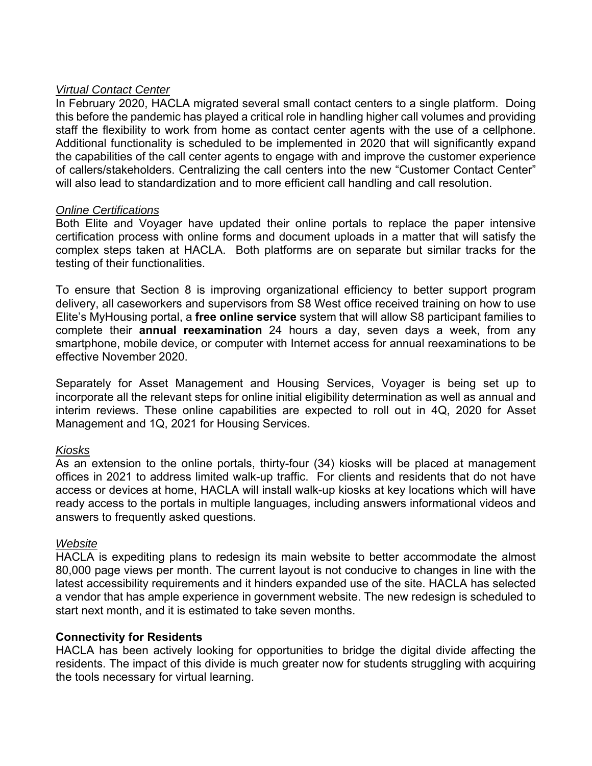### *Virtual Contact Center*

In February 2020, HACLA migrated several small contact centers to a single platform. Doing this before the pandemic has played a critical role in handling higher call volumes and providing staff the flexibility to work from home as contact center agents with the use of a cellphone. Additional functionality is scheduled to be implemented in 2020 that will significantly expand the capabilities of the call center agents to engage with and improve the customer experience of callers/stakeholders. Centralizing the call centers into the new "Customer Contact Center" will also lead to standardization and to more efficient call handling and call resolution.

### *Online Certifications*

Both Elite and Voyager have updated their online portals to replace the paper intensive certification process with online forms and document uploads in a matter that will satisfy the complex steps taken at HACLA. Both platforms are on separate but similar tracks for the testing of their functionalities.

To ensure that Section 8 is improving organizational efficiency to better support program delivery, all caseworkers and supervisors from S8 West office received training on how to use Elite's MyHousing portal, a **free online service** system that will allow S8 participant families to complete their **annual reexamination** 24 hours a day, seven days a week, from any smartphone, mobile device, or computer with Internet access for annual reexaminations to be effective November 2020.

Separately for Asset Management and Housing Services, Voyager is being set up to incorporate all the relevant steps for online initial eligibility determination as well as annual and interim reviews. These online capabilities are expected to roll out in 4Q, 2020 for Asset Management and 1Q, 2021 for Housing Services.

#### *Kiosks*

As an extension to the online portals, thirty-four (34) kiosks will be placed at management offices in 2021 to address limited walk-up traffic. For clients and residents that do not have access or devices at home, HACLA will install walk-up kiosks at key locations which will have ready access to the portals in multiple languages, including answers informational videos and answers to frequently asked questions.

#### *Website*

HACLA is expediting plans to redesign its main website to better accommodate the almost 80,000 page views per month. The current layout is not conducive to changes in line with the latest accessibility requirements and it hinders expanded use of the site. HACLA has selected a vendor that has ample experience in government website. The new redesign is scheduled to start next month, and it is estimated to take seven months.

#### **Connectivity for Residents**

HACLA has been actively looking for opportunities to bridge the digital divide affecting the residents. The impact of this divide is much greater now for students struggling with acquiring the tools necessary for virtual learning.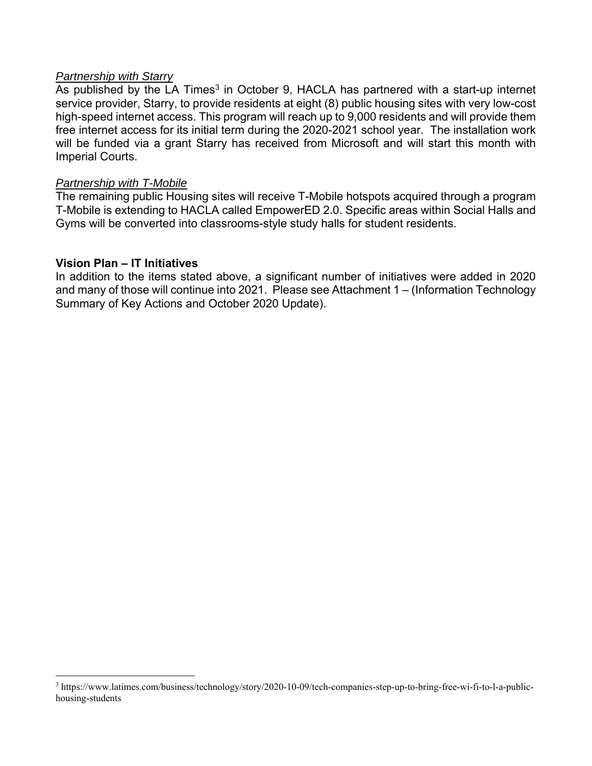#### *Partnership with Starry*

As published by the LA Times<sup>3</sup> in October 9, HACLA has partnered with a start-up internet service provider, Starry, to provide residents at eight (8) public housing sites with very low-cost high-speed internet access. This program will reach up to 9,000 residents and will provide them free internet access for its initial term during the 2020-2021 school year. The installation work will be funded via a grant Starry has received from Microsoft and will start this month with Imperial Courts.

#### *Partnership with T-Mobile*

The remaining public Housing sites will receive T-Mobile hotspots acquired through a program T-Mobile is extending to HACLA called EmpowerED 2.0. Specific areas within Social Halls and Gyms will be converted into classrooms-style study halls for student residents.

#### **Vision Plan – IT Initiatives**

In addition to the items stated above, a significant number of initiatives were added in 2020 and many of those will continue into 2021. Please see Attachment 1 – (Information Technology Summary of Key Actions and October 2020 Update).

<sup>3</sup> https://www.latimes.com/business/technology/story/2020-10-09/tech-companies-step-up-to-bring-free-wi-fi-to-l-a-publichousing-students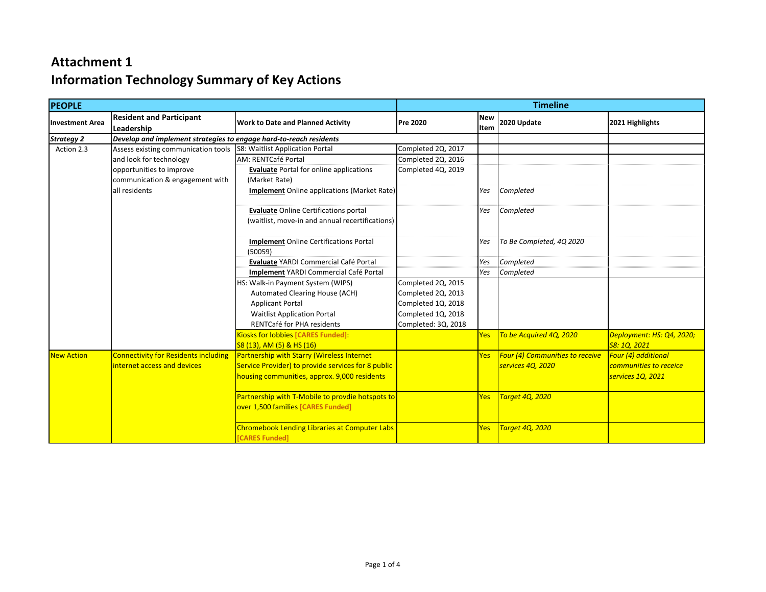| <b>PEOPLE</b>          |                                                                    | <b>Timeline</b>                                                        |                     |            |                                 |                           |
|------------------------|--------------------------------------------------------------------|------------------------------------------------------------------------|---------------------|------------|---------------------------------|---------------------------|
| <b>Investment Area</b> | <b>Resident and Participant</b>                                    | <b>Work to Date and Planned Activity</b>                               | <b>Pre 2020</b>     | <b>New</b> | 2020 Update                     | 2021 Highlights           |
|                        | Leadership                                                         |                                                                        |                     | Item       |                                 |                           |
| <b>Strategy 2</b>      | Develop and implement strategies to engage hard-to-reach residents |                                                                        |                     |            |                                 |                           |
| Action 2.3             | Assess existing communication tools                                | S8: Waitlist Application Portal                                        | Completed 2Q, 2017  |            |                                 |                           |
|                        | and look for technology                                            | AM: RENTCafé Portal                                                    | Completed 2Q, 2016  |            |                                 |                           |
|                        | opportunities to improve                                           | <b>Evaluate</b> Portal for online applications                         | Completed 4Q, 2019  |            |                                 |                           |
|                        | communication & engagement with                                    | (Market Rate)                                                          |                     |            |                                 |                           |
|                        | all residents                                                      | <b>Implement</b> Online applications (Market Rate)                     |                     | Yes        | Completed                       |                           |
|                        |                                                                    | <b>Evaluate Online Certifications portal</b>                           |                     | Yes        | Completed                       |                           |
|                        |                                                                    | (waitlist, move-in and annual recertifications)                        |                     |            |                                 |                           |
|                        |                                                                    | <b>Implement</b> Online Certifications Portal<br>(50059)               |                     | Yes        | To Be Completed, 4Q 2020        |                           |
|                        |                                                                    | Evaluate YARDI Commercial Café Portal                                  |                     | Yes        | Completed                       |                           |
|                        |                                                                    | Implement YARDI Commercial Café Portal                                 |                     | Yes        | Completed                       |                           |
|                        |                                                                    | HS: Walk-in Payment System (WIPS)                                      | Completed 2Q, 2015  |            |                                 |                           |
|                        |                                                                    | Automated Clearing House (ACH)                                         | Completed 2Q, 2013  |            |                                 |                           |
|                        |                                                                    | <b>Applicant Portal</b>                                                | Completed 1Q, 2018  |            |                                 |                           |
|                        |                                                                    | <b>Waitlist Application Portal</b>                                     | Completed 1Q, 2018  |            |                                 |                           |
|                        |                                                                    | RENTCafé for PHA residents                                             | Completed: 3Q, 2018 |            |                                 |                           |
|                        |                                                                    | Kiosks for lobbies [CARES Funded]:                                     |                     | <b>Yes</b> | To be Acquired 4Q, 2020         | Deployment: HS: Q4, 2020; |
|                        |                                                                    | S8 (13), AM (5) & HS (16)                                              |                     |            |                                 | S8: 1Q, 2021              |
| <b>New Action</b>      | <b>Connectivity for Residents including</b>                        | <b>Partnership with Starry (Wireless Internet</b>                      |                     | <b>Yes</b> | Four (4) Communities to receive | Four (4) additional       |
|                        | internet access and devices                                        | Service Provider) to provide services for 8 public                     |                     |            | services 4Q, 2020               | communities to receice    |
|                        |                                                                    | housing communities, approx. 9,000 residents                           |                     |            |                                 | services 1Q, 2021         |
|                        |                                                                    | Partnership with T-Mobile to provdie hotspots to                       |                     | <b>Yes</b> | Target 4Q, 2020                 |                           |
|                        |                                                                    | over 1,500 families [CARES Funded]                                     |                     |            |                                 |                           |
|                        |                                                                    | <b>Chromebook Lending Libraries at Computer Labs</b><br>[CARES Funded] |                     | <b>Yes</b> | <b>Target 4Q, 2020</b>          |                           |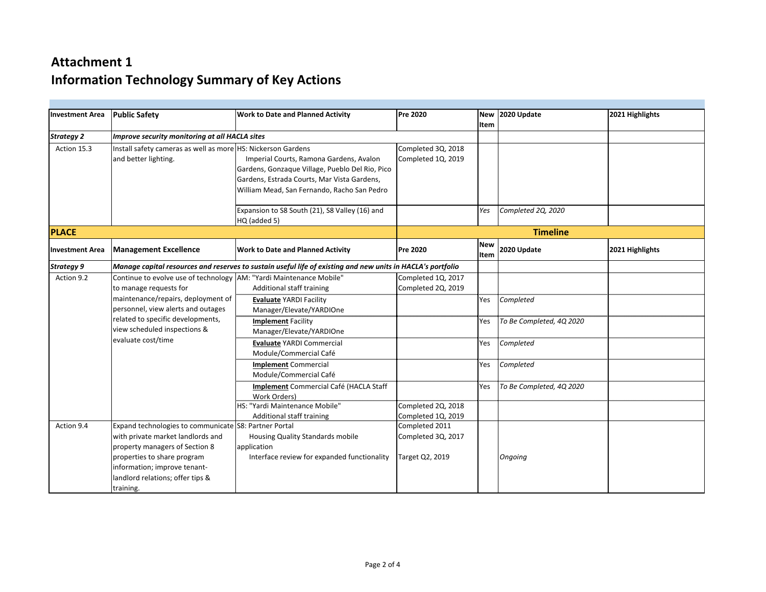| Investment Area   | <b>Public Safety</b>                                                                                        | <b>Work to Date and Planned Activity</b>        | <b>Pre 2020</b>    |                    | New 2020 Update          | 2021 Highlights |
|-------------------|-------------------------------------------------------------------------------------------------------------|-------------------------------------------------|--------------------|--------------------|--------------------------|-----------------|
|                   |                                                                                                             |                                                 |                    | Item               |                          |                 |
| <b>Strategy 2</b> | Improve security monitoring at all HACLA sites                                                              |                                                 |                    |                    |                          |                 |
| Action 15.3       | Install safety cameras as well as more HS: Nickerson Gardens                                                |                                                 | Completed 3Q, 2018 |                    |                          |                 |
|                   | and better lighting.                                                                                        | Imperial Courts, Ramona Gardens, Avalon         | Completed 1Q, 2019 |                    |                          |                 |
|                   |                                                                                                             | Gardens, Gonzaque Village, Pueblo Del Rio, Pico |                    |                    |                          |                 |
|                   |                                                                                                             | Gardens, Estrada Courts, Mar Vista Gardens,     |                    |                    |                          |                 |
|                   |                                                                                                             | William Mead, San Fernando, Racho San Pedro     |                    |                    |                          |                 |
|                   |                                                                                                             |                                                 |                    |                    |                          |                 |
|                   |                                                                                                             | Expansion to S8 South (21), S8 Valley (16) and  |                    | Yes                | Completed 2Q, 2020       |                 |
|                   |                                                                                                             | HQ (added 5)                                    |                    |                    |                          |                 |
| <b>PLACE</b>      |                                                                                                             |                                                 |                    |                    | <b>Timeline</b>          |                 |
| Investment Area   | <b>Management Excellence</b>                                                                                | <b>Work to Date and Planned Activity</b>        | <b>Pre 2020</b>    | <b>New</b><br>Item | 2020 Update              | 2021 Highlights |
| Strategy 9        | Manage capital resources and reserves to sustain useful life of existing and new units in HACLA's portfolio |                                                 |                    |                    |                          |                 |
| Action 9.2        | Continue to evolve use of technology AM: "Yardi Maintenance Mobile"                                         |                                                 | Completed 1Q, 2017 |                    |                          |                 |
|                   | to manage requests for                                                                                      | Additional staff training                       | Completed 2Q, 2019 |                    |                          |                 |
|                   | maintenance/repairs, deployment of                                                                          | <b>Evaluate YARDI Facility</b>                  |                    | Yes                | Completed                |                 |
|                   | personnel, view alerts and outages                                                                          | Manager/Elevate/YARDIOne                        |                    |                    |                          |                 |
|                   | related to specific developments,                                                                           | <b>Implement Facility</b>                       |                    | Yes                | To Be Completed, 4Q 2020 |                 |
|                   | view scheduled inspections &                                                                                | Manager/Elevate/YARDIOne                        |                    |                    |                          |                 |
|                   | evaluate cost/time                                                                                          | <b>Evaluate YARDI Commercial</b>                |                    | Yes                | Completed                |                 |
|                   |                                                                                                             | Module/Commercial Café                          |                    |                    |                          |                 |
|                   |                                                                                                             | <b>Implement Commercial</b>                     |                    | Yes                | Completed                |                 |
|                   |                                                                                                             | Module/Commercial Café                          |                    |                    |                          |                 |
|                   |                                                                                                             | Implement Commercial Café (HACLA Staff          |                    | Yes                | To Be Completed, 4Q 2020 |                 |
|                   |                                                                                                             | <b>Work Orders)</b>                             |                    |                    |                          |                 |
|                   |                                                                                                             | HS: "Yardi Maintenance Mobile"                  | Completed 2Q, 2018 |                    |                          |                 |
|                   |                                                                                                             | Additional staff training                       | Completed 1Q, 2019 |                    |                          |                 |
| Action 9.4        | Expand technologies to communicate S8: Partner Portal                                                       |                                                 | Completed 2011     |                    |                          |                 |
|                   | with private market landlords and                                                                           | <b>Housing Quality Standards mobile</b>         | Completed 3Q, 2017 |                    |                          |                 |
|                   | property managers of Section 8                                                                              | application                                     |                    |                    |                          |                 |
|                   | properties to share program                                                                                 | Interface review for expanded functionality     | Target Q2, 2019    |                    | Ongoing                  |                 |
|                   | information; improve tenant-                                                                                |                                                 |                    |                    |                          |                 |
|                   | landlord relations; offer tips &                                                                            |                                                 |                    |                    |                          |                 |
|                   | training.                                                                                                   |                                                 |                    |                    |                          |                 |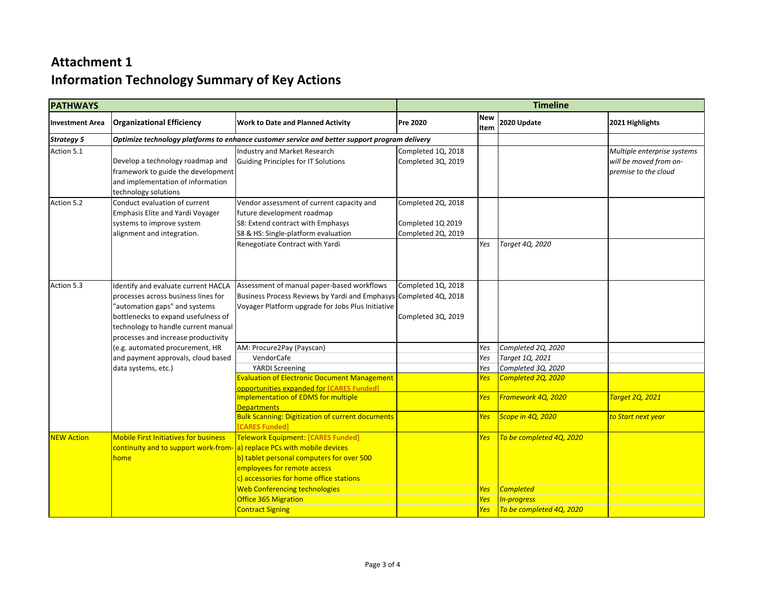| <b>PATHWAYS</b>        |                                                                                                                                                                                                                                  |                                                                                                                                                                                        | <b>Timeline</b>                                               |                                 |                                                             |                                                                               |
|------------------------|----------------------------------------------------------------------------------------------------------------------------------------------------------------------------------------------------------------------------------|----------------------------------------------------------------------------------------------------------------------------------------------------------------------------------------|---------------------------------------------------------------|---------------------------------|-------------------------------------------------------------|-------------------------------------------------------------------------------|
| <b>Investment Area</b> | <b>Organizational Efficiency</b>                                                                                                                                                                                                 | <b>Work to Date and Planned Activity</b>                                                                                                                                               | Pre 2020                                                      | <b>New</b><br>Item              | 2020 Update                                                 | 2021 Highlights                                                               |
| <b>Strategy 5</b>      | Optimize technology platforms to enhance customer service and better support program delivery                                                                                                                                    |                                                                                                                                                                                        |                                                               |                                 |                                                             |                                                                               |
| Action 5.1             | Develop a technology roadmap and<br>framework to guide the development<br>and implementation of information<br>technology solutions                                                                                              | Industry and Market Research<br>Guiding Principles for IT Solutions                                                                                                                    | Completed 1Q, 2018<br>Completed 3Q, 2019                      |                                 |                                                             | Multiple enterprise systems<br>will be moved from on-<br>premise to the cloud |
| Action 5.2             | Conduct evaluation of current<br><b>Emphasis Elite and Yardi Voyager</b><br>systems to improve system<br>alignment and integration.                                                                                              | Vendor assessment of current capacity and<br>future development roadmap<br>S8: Extend contract with Emphasys<br>S8 & HS: Single-platform evaluation<br>Renegotiate Contract with Yardi | Completed 2Q, 2018<br>Completed 1Q 2019<br>Completed 2Q, 2019 | Yes                             | Target 4Q, 2020                                             |                                                                               |
| Action 5.3             | Identify and evaluate current HACLA<br>processes across business lines for<br>"automation gaps" and systems<br>bottlenecks to expand usefulness of<br>technology to handle current manual<br>processes and increase productivity | Assessment of manual paper-based workflows<br>Business Process Reviews by Yardi and Emphasys Completed 4Q, 2018<br>Voyager Platform upgrade for Jobs Plus Initiative                   | Completed 1Q, 2018<br>Completed 3Q, 2019                      |                                 |                                                             |                                                                               |
|                        | (e.g. automated procurement, HR<br>and payment approvals, cloud based<br>data systems, etc.)                                                                                                                                     | AM: Procure2Pay (Payscan)<br>VendorCafe<br><b>YARDI Screening</b>                                                                                                                      |                                                               | Yes<br>Yes<br>Yes               | Completed 2Q, 2020<br>Target 1Q, 2021<br>Completed 3Q, 2020 |                                                                               |
|                        |                                                                                                                                                                                                                                  | <b>Evaluation of Electronic Document Management</b><br>opportunities expanded for <b>[CARES Funded]</b><br><b>Implementation of EDMS for multiple</b><br><b>Departments</b>            |                                                               | <b>Yes</b><br><b>Yes</b>        | Completed 2Q, 2020<br>Framework 4Q, 2020                    | <b>Target 2Q, 2021</b>                                                        |
|                        |                                                                                                                                                                                                                                  | <b>Bulk Scanning: Digitization of current documents</b><br>[CARES Funded]                                                                                                              |                                                               | Yes                             | Scope in 4Q, 2020                                           | <mark>to Start next year</mark>                                               |
| <b>NEW Action</b>      | <b>Mobile First Initiatives for business</b><br>continuity and to support work-from- a) replace PCs with mobile devices<br>home                                                                                                  | Telework Equipment: [CARES Funded]<br>b) tablet personal computers for over 500<br>employees for remote access<br>c) accessories for home office stations                              |                                                               | Yes                             | To be completed 4Q, 2020                                    |                                                                               |
|                        |                                                                                                                                                                                                                                  | <b>Web Conferencing technologies</b><br>Office 365 Migration<br><b>Contract Signing</b>                                                                                                |                                                               | Yes<br><b>Yes</b><br><b>Yes</b> | <b>Completed</b><br>In-progress<br>To be completed 4Q, 2020 |                                                                               |